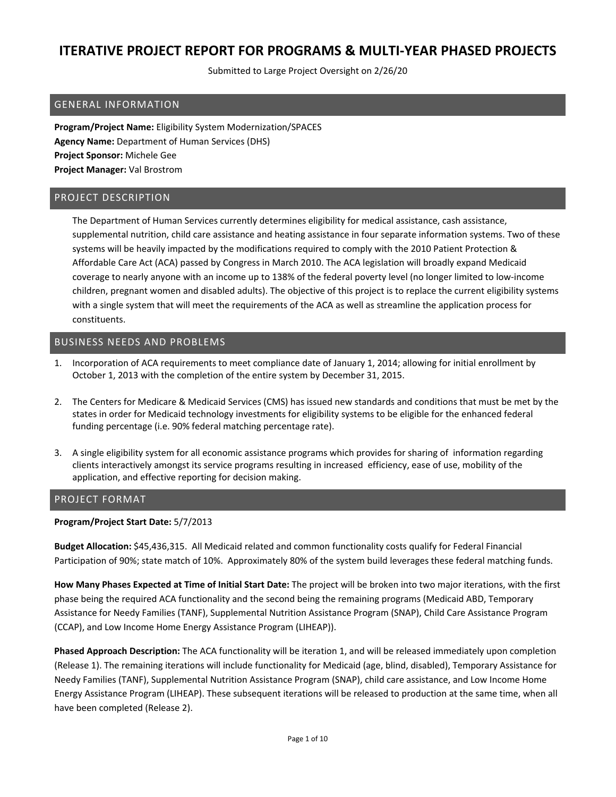Submitted to Large Project Oversight on 2/26/20

### GENERAL INFORMATION

**Program/Project Name:** Eligibility System Modernization/SPACES **Agency Name:** Department of Human Services (DHS) **Project Sponsor:** Michele Gee **Project Manager:** Val Brostrom

#### PROJECT DESCRIPTION

The Department of Human Services currently determines eligibility for medical assistance, cash assistance, supplemental nutrition, child care assistance and heating assistance in four separate information systems. Two of these systems will be heavily impacted by the modifications required to comply with the 2010 Patient Protection & Affordable Care Act (ACA) passed by Congress in March 2010. The ACA legislation will broadly expand Medicaid coverage to nearly anyone with an income up to 138% of the federal poverty level (no longer limited to low‐income children, pregnant women and disabled adults). The objective of this project is to replace the current eligibility systems with a single system that will meet the requirements of the ACA as well as streamline the application process for constituents.

### BUSINESS NEEDS AND PROBLEMS

- 1. Incorporation of ACA requirements to meet compliance date of January 1, 2014; allowing for initial enrollment by October 1, 2013 with the completion of the entire system by December 31, 2015.
- 2. The Centers for Medicare & Medicaid Services (CMS) has issued new standards and conditions that must be met by the states in order for Medicaid technology investments for eligibility systems to be eligible for the enhanced federal funding percentage (i.e. 90% federal matching percentage rate).
- 3. A single eligibility system for all economic assistance programs which provides for sharing of information regarding clients interactively amongst its service programs resulting in increased efficiency, ease of use, mobility of the application, and effective reporting for decision making.

### PROJECT FORMAT

#### **Program/Project Start Date:** 5/7/2013

**Budget Allocation:** \$45,436,315. All Medicaid related and common functionality costs qualify for Federal Financial Participation of 90%; state match of 10%. Approximately 80% of the system build leverages these federal matching funds.

**How Many Phases Expected at Time of Initial Start Date:** The project will be broken into two major iterations, with the first phase being the required ACA functionality and the second being the remaining programs (Medicaid ABD, Temporary Assistance for Needy Families (TANF), Supplemental Nutrition Assistance Program (SNAP), Child Care Assistance Program (CCAP), and Low Income Home Energy Assistance Program (LIHEAP)).

**Phased Approach Description:** The ACA functionality will be iteration 1, and will be released immediately upon completion (Release 1). The remaining iterations will include functionality for Medicaid (age, blind, disabled), Temporary Assistance for Needy Families (TANF), Supplemental Nutrition Assistance Program (SNAP), child care assistance, and Low Income Home Energy Assistance Program (LIHEAP). These subsequent iterations will be released to production at the same time, when all have been completed (Release 2).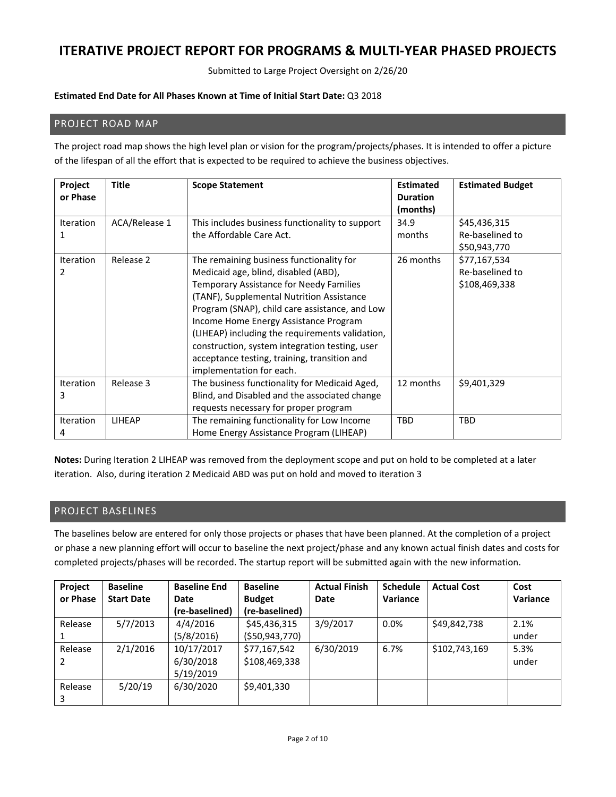Submitted to Large Project Oversight on 2/26/20

#### **Estimated End Date for All Phases Known at Time of Initial Start Date:** Q3 2018

### PROJECT ROAD MAP

The project road map shows the high level plan or vision for the program/projects/phases. It is intended to offer a picture of the lifespan of all the effort that is expected to be required to achieve the business objectives.

| Project<br>or Phase   | <b>Title</b>  | <b>Scope Statement</b>                                                                                                                                                                                                                                                                                                                                                                                                                               | <b>Estimated</b><br><b>Duration</b><br>(months) | <b>Estimated Budget</b>                          |
|-----------------------|---------------|------------------------------------------------------------------------------------------------------------------------------------------------------------------------------------------------------------------------------------------------------------------------------------------------------------------------------------------------------------------------------------------------------------------------------------------------------|-------------------------------------------------|--------------------------------------------------|
| <b>Iteration</b>      | ACA/Release 1 | This includes business functionality to support<br>the Affordable Care Act.                                                                                                                                                                                                                                                                                                                                                                          | 34.9<br>months                                  | \$45,436,315<br>Re-baselined to<br>\$50,943,770  |
| <b>Iteration</b><br>2 | Release 2     | The remaining business functionality for<br>Medicaid age, blind, disabled (ABD),<br>Temporary Assistance for Needy Families<br>(TANF), Supplemental Nutrition Assistance<br>Program (SNAP), child care assistance, and Low<br>Income Home Energy Assistance Program<br>(LIHEAP) including the requirements validation,<br>construction, system integration testing, user<br>acceptance testing, training, transition and<br>implementation for each. | 26 months                                       | \$77,167,534<br>Re-baselined to<br>\$108,469,338 |
| <b>Iteration</b><br>3 | Release 3     | The business functionality for Medicaid Aged,<br>Blind, and Disabled and the associated change<br>requests necessary for proper program                                                                                                                                                                                                                                                                                                              | 12 months                                       | \$9,401,329                                      |
| <b>Iteration</b>      | <b>LIHEAP</b> | The remaining functionality for Low Income<br>Home Energy Assistance Program (LIHEAP)                                                                                                                                                                                                                                                                                                                                                                | <b>TBD</b>                                      | <b>TBD</b>                                       |

**Notes:** During Iteration 2 LIHEAP was removed from the deployment scope and put on hold to be completed at a later iteration. Also, during iteration 2 Medicaid ABD was put on hold and moved to iteration 3

### PROJECT BASELINES

The baselines below are entered for only those projects or phases that have been planned. At the completion of a project or phase a new planning effort will occur to baseline the next project/phase and any known actual finish dates and costs for completed projects/phases will be recorded. The startup report will be submitted again with the new information.

| Project<br>or Phase | <b>Baseline</b><br><b>Start Date</b> | <b>Baseline End</b><br>Date<br>(re-baselined) | <b>Baseline</b><br><b>Budget</b><br>(re-baselined) | <b>Actual Finish</b><br>Date | <b>Schedule</b><br>Variance | <b>Actual Cost</b> | Cost<br>Variance |
|---------------------|--------------------------------------|-----------------------------------------------|----------------------------------------------------|------------------------------|-----------------------------|--------------------|------------------|
| Release             | 5/7/2013                             | 4/4/2016<br>(5/8/2016)                        | \$45,436,315<br>( \$50, 943, 770)                  | 3/9/2017                     | $0.0\%$                     | \$49,842,738       | 2.1%<br>under    |
| Release<br>2        | 2/1/2016                             | 10/17/2017<br>6/30/2018<br>5/19/2019          | \$77,167,542<br>\$108,469,338                      | 6/30/2019                    | 6.7%                        | \$102,743,169      | 5.3%<br>under    |
| Release<br>3        | 5/20/19                              | 6/30/2020                                     | \$9,401,330                                        |                              |                             |                    |                  |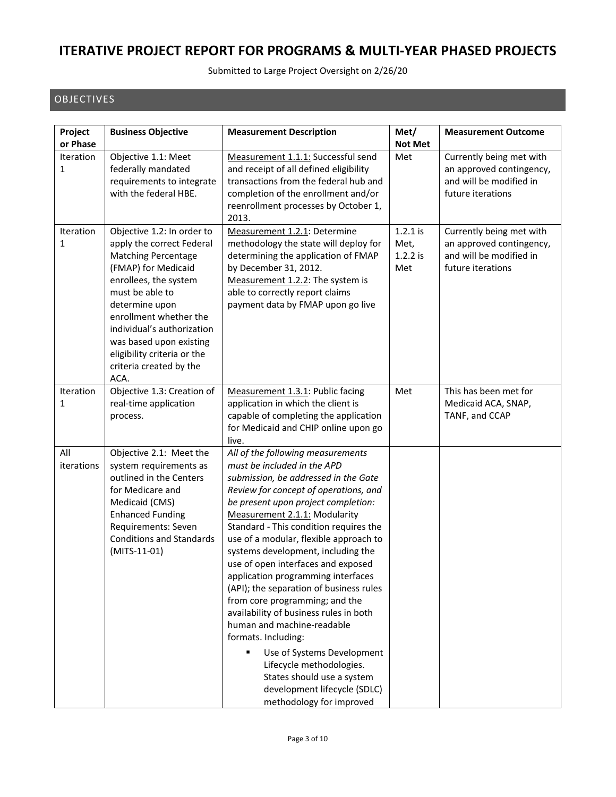Submitted to Large Project Oversight on 2/26/20

### OBJECTIVES

| Project<br>or Phase   | <b>Business Objective</b>                                                                                                                                                                                                                                                                                                       | <b>Measurement Description</b>                                                                                                                                                                                                                                                                                                                                                                                                                                                                                                                                                                                                                                                                                                                                       | Met/<br><b>Not Met</b>                  | <b>Measurement Outcome</b>                                                                           |
|-----------------------|---------------------------------------------------------------------------------------------------------------------------------------------------------------------------------------------------------------------------------------------------------------------------------------------------------------------------------|----------------------------------------------------------------------------------------------------------------------------------------------------------------------------------------------------------------------------------------------------------------------------------------------------------------------------------------------------------------------------------------------------------------------------------------------------------------------------------------------------------------------------------------------------------------------------------------------------------------------------------------------------------------------------------------------------------------------------------------------------------------------|-----------------------------------------|------------------------------------------------------------------------------------------------------|
| <b>Iteration</b><br>1 | Objective 1.1: Meet<br>federally mandated<br>requirements to integrate<br>with the federal HBE.                                                                                                                                                                                                                                 | Measurement 1.1.1: Successful send<br>and receipt of all defined eligibility<br>transactions from the federal hub and<br>completion of the enrollment and/or<br>reenrollment processes by October 1,<br>2013.                                                                                                                                                                                                                                                                                                                                                                                                                                                                                                                                                        | Met                                     | Currently being met with<br>an approved contingency,<br>and will be modified in<br>future iterations |
| <b>Iteration</b><br>1 | Objective 1.2: In order to<br>apply the correct Federal<br><b>Matching Percentage</b><br>(FMAP) for Medicaid<br>enrollees, the system<br>must be able to<br>determine upon<br>enrollment whether the<br>individual's authorization<br>was based upon existing<br>eligibility criteria or the<br>criteria created by the<br>ACA. | Measurement 1.2.1: Determine<br>methodology the state will deploy for<br>determining the application of FMAP<br>by December 31, 2012.<br>Measurement 1.2.2: The system is<br>able to correctly report claims<br>payment data by FMAP upon go live                                                                                                                                                                                                                                                                                                                                                                                                                                                                                                                    | $1.2.1$ is<br>Met,<br>$1.2.2$ is<br>Met | Currently being met with<br>an approved contingency,<br>and will be modified in<br>future iterations |
| Iteration<br>1        | Objective 1.3: Creation of<br>real-time application<br>process.                                                                                                                                                                                                                                                                 | Measurement 1.3.1: Public facing<br>application in which the client is<br>capable of completing the application<br>for Medicaid and CHIP online upon go<br>live.                                                                                                                                                                                                                                                                                                                                                                                                                                                                                                                                                                                                     | Met                                     | This has been met for<br>Medicaid ACA, SNAP,<br>TANF, and CCAP                                       |
| All<br>iterations     | Objective 2.1: Meet the<br>system requirements as<br>outlined in the Centers<br>for Medicare and<br>Medicaid (CMS)<br><b>Enhanced Funding</b><br>Requirements: Seven<br><b>Conditions and Standards</b><br>(MITS-11-01)                                                                                                         | All of the following measurements<br>must be included in the APD<br>submission, be addressed in the Gate<br>Review for concept of operations, and<br>be present upon project completion:<br>Measurement 2.1.1: Modularity<br>Standard - This condition requires the<br>use of a modular, flexible approach to<br>systems development, including the<br>use of open interfaces and exposed<br>application programming interfaces<br>(API); the separation of business rules<br>from core programming; and the<br>availability of business rules in both<br>human and machine-readable<br>formats. Including:<br>Use of Systems Development<br>٠<br>Lifecycle methodologies.<br>States should use a system<br>development lifecycle (SDLC)<br>methodology for improved |                                         |                                                                                                      |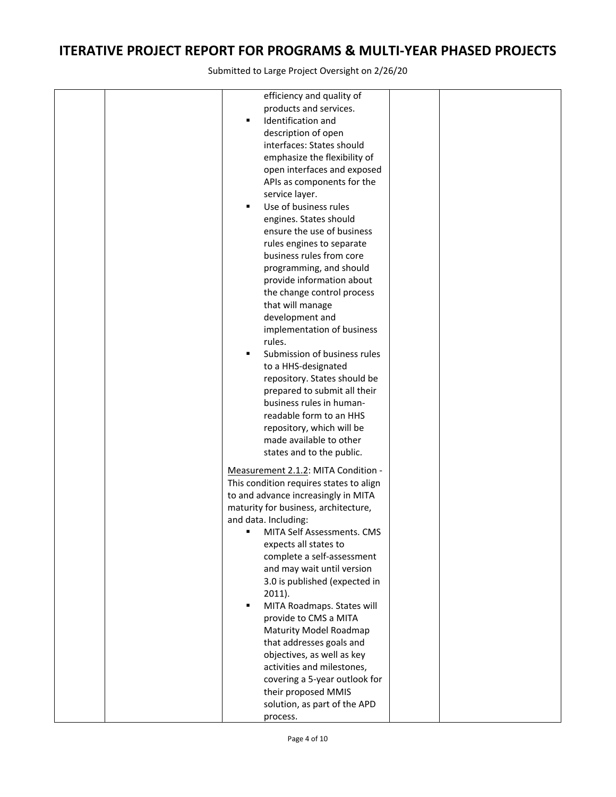|  | efficiency and quality of                          |  |
|--|----------------------------------------------------|--|
|  | products and services.                             |  |
|  | Identification and<br>٠                            |  |
|  | description of open                                |  |
|  | interfaces: States should                          |  |
|  | emphasize the flexibility of                       |  |
|  | open interfaces and exposed                        |  |
|  | APIs as components for the                         |  |
|  | service layer.                                     |  |
|  | Use of business rules<br>٠                         |  |
|  | engines. States should                             |  |
|  | ensure the use of business                         |  |
|  | rules engines to separate                          |  |
|  | business rules from core                           |  |
|  | programming, and should                            |  |
|  | provide information about                          |  |
|  | the change control process                         |  |
|  | that will manage                                   |  |
|  | development and                                    |  |
|  |                                                    |  |
|  | implementation of business<br>rules.               |  |
|  | ٠                                                  |  |
|  | Submission of business rules                       |  |
|  | to a HHS-designated                                |  |
|  | repository. States should be                       |  |
|  | prepared to submit all their                       |  |
|  | business rules in human-                           |  |
|  | readable form to an HHS                            |  |
|  | repository, which will be                          |  |
|  | made available to other                            |  |
|  | states and to the public.                          |  |
|  | Measurement 2.1.2: MITA Condition -                |  |
|  | This condition requires states to align            |  |
|  | to and advance increasingly in MITA                |  |
|  | maturity for business, architecture,               |  |
|  | and data. Including:                               |  |
|  | MITA Self Assessments. CMS<br>٠                    |  |
|  | expects all states to                              |  |
|  | complete a self-assessment                         |  |
|  | and may wait until version                         |  |
|  | 3.0 is published (expected in                      |  |
|  | $2011$ ).                                          |  |
|  | MITA Roadmaps. States will<br>٠                    |  |
|  | provide to CMS a MITA                              |  |
|  |                                                    |  |
|  | Maturity Model Roadmap<br>that addresses goals and |  |
|  |                                                    |  |
|  | objectives, as well as key                         |  |
|  | activities and milestones,                         |  |
|  | covering a 5-year outlook for                      |  |
|  | their proposed MMIS                                |  |
|  | solution, as part of the APD                       |  |
|  | process.                                           |  |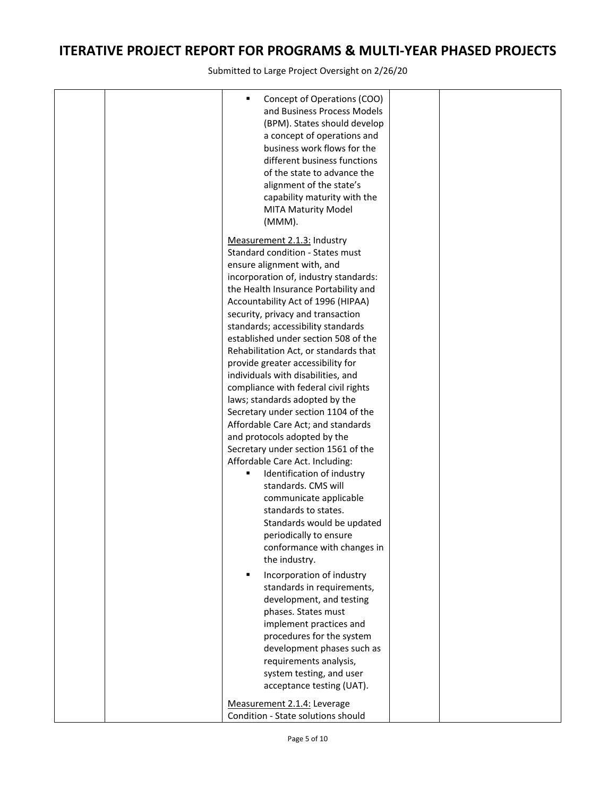| ٠<br>Concept of Operations (COO)<br>and Business Process Models<br>(BPM). States should develop<br>a concept of operations and<br>business work flows for the<br>different business functions<br>of the state to advance the<br>alignment of the state's<br>capability maturity with the<br><b>MITA Maturity Model</b><br>(MMM).                                                                                                                                                                                                                                                                                                                                                                                                                                                                                                                                                                                                            |  |
|---------------------------------------------------------------------------------------------------------------------------------------------------------------------------------------------------------------------------------------------------------------------------------------------------------------------------------------------------------------------------------------------------------------------------------------------------------------------------------------------------------------------------------------------------------------------------------------------------------------------------------------------------------------------------------------------------------------------------------------------------------------------------------------------------------------------------------------------------------------------------------------------------------------------------------------------|--|
| Measurement 2.1.3: Industry<br>Standard condition - States must<br>ensure alignment with, and<br>incorporation of, industry standards:<br>the Health Insurance Portability and<br>Accountability Act of 1996 (HIPAA)<br>security, privacy and transaction<br>standards; accessibility standards<br>established under section 508 of the<br>Rehabilitation Act, or standards that<br>provide greater accessibility for<br>individuals with disabilities, and<br>compliance with federal civil rights<br>laws; standards adopted by the<br>Secretary under section 1104 of the<br>Affordable Care Act; and standards<br>and protocols adopted by the<br>Secretary under section 1561 of the<br>Affordable Care Act. Including:<br>Identification of industry<br>standards. CMS will<br>communicate applicable<br>standards to states.<br>Standards would be updated<br>periodically to ensure<br>conformance with changes in<br>the industry. |  |
| $\blacksquare$<br>Incorporation of industry<br>standards in requirements,<br>development, and testing<br>phases. States must<br>implement practices and<br>procedures for the system<br>development phases such as<br>requirements analysis,<br>system testing, and user<br>acceptance testing (UAT).<br>Measurement 2.1.4: Leverage<br>Condition - State solutions should                                                                                                                                                                                                                                                                                                                                                                                                                                                                                                                                                                  |  |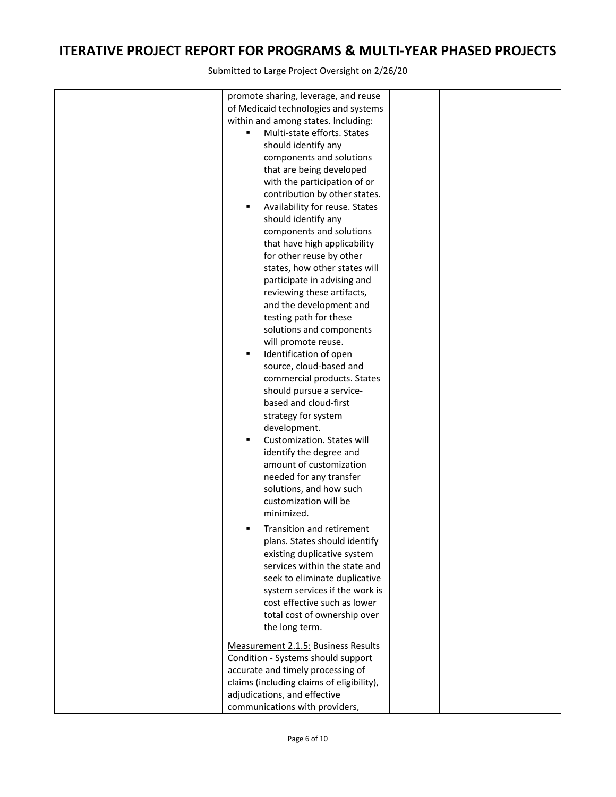| promote sharing, leverage, and reuse<br>of Medicaid technologies and systems<br>within and among states. Including:<br>Multi-state efforts. States<br>٠<br>should identify any<br>components and solutions<br>that are being developed<br>with the participation of or<br>contribution by other states.<br>Availability for reuse. States<br>٠<br>should identify any<br>components and solutions<br>that have high applicability<br>for other reuse by other<br>states, how other states will<br>participate in advising and<br>reviewing these artifacts,<br>and the development and<br>testing path for these<br>solutions and components<br>will promote reuse.<br>Identification of open<br>٠<br>source, cloud-based and<br>commercial products. States<br>should pursue a service-<br>based and cloud-first<br>strategy for system<br>development.<br>Customization. States will<br>٠<br>identify the degree and<br>amount of customization<br>needed for any transfer<br>solutions, and how such<br>customization will be<br>minimized.<br>Transition and retirement<br>٠<br>plans. States should identify<br>existing duplicative system<br>services within the state and<br>seek to eliminate duplicative<br>system services if the work is<br>cost effective such as lower<br>total cost of ownership over |  |
|----------------------------------------------------------------------------------------------------------------------------------------------------------------------------------------------------------------------------------------------------------------------------------------------------------------------------------------------------------------------------------------------------------------------------------------------------------------------------------------------------------------------------------------------------------------------------------------------------------------------------------------------------------------------------------------------------------------------------------------------------------------------------------------------------------------------------------------------------------------------------------------------------------------------------------------------------------------------------------------------------------------------------------------------------------------------------------------------------------------------------------------------------------------------------------------------------------------------------------------------------------------------------------------------------------------------|--|
| the long term.                                                                                                                                                                                                                                                                                                                                                                                                                                                                                                                                                                                                                                                                                                                                                                                                                                                                                                                                                                                                                                                                                                                                                                                                                                                                                                       |  |
| Measurement 2.1.5: Business Results<br>Condition - Systems should support<br>accurate and timely processing of<br>claims (including claims of eligibility),<br>adjudications, and effective<br>communications with providers,                                                                                                                                                                                                                                                                                                                                                                                                                                                                                                                                                                                                                                                                                                                                                                                                                                                                                                                                                                                                                                                                                        |  |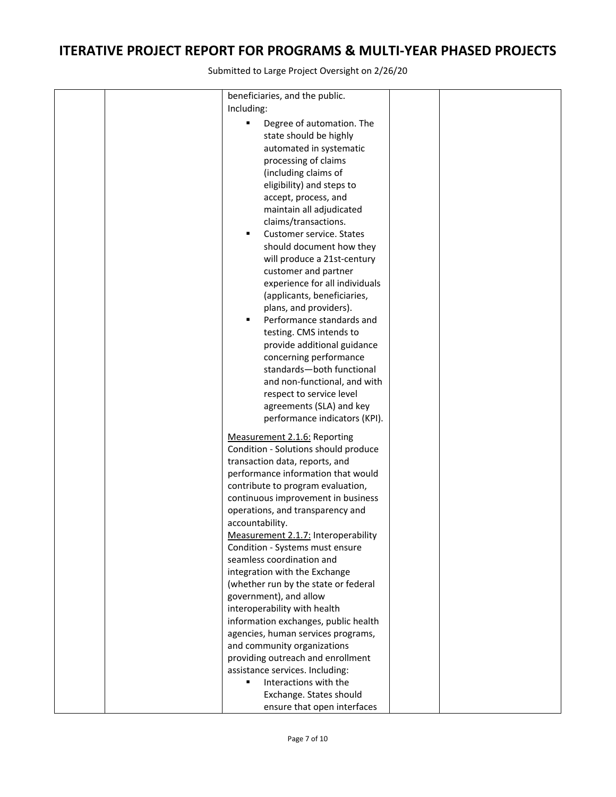|  | beneficiaries, and the public.              |  |
|--|---------------------------------------------|--|
|  | Including:                                  |  |
|  |                                             |  |
|  | Degree of automation. The                   |  |
|  | state should be highly                      |  |
|  | automated in systematic                     |  |
|  | processing of claims                        |  |
|  | (including claims of                        |  |
|  | eligibility) and steps to                   |  |
|  | accept, process, and                        |  |
|  | maintain all adjudicated                    |  |
|  | claims/transactions.                        |  |
|  | Customer service. States<br>$\blacksquare$  |  |
|  | should document how they                    |  |
|  | will produce a 21st-century                 |  |
|  |                                             |  |
|  | customer and partner                        |  |
|  | experience for all individuals              |  |
|  | (applicants, beneficiaries,                 |  |
|  | plans, and providers).                      |  |
|  | Performance standards and<br>$\blacksquare$ |  |
|  | testing. CMS intends to                     |  |
|  | provide additional guidance                 |  |
|  | concerning performance                      |  |
|  | standards-both functional                   |  |
|  | and non-functional, and with                |  |
|  | respect to service level                    |  |
|  | agreements (SLA) and key                    |  |
|  | performance indicators (KPI).               |  |
|  |                                             |  |
|  | Measurement 2.1.6: Reporting                |  |
|  | Condition - Solutions should produce        |  |
|  | transaction data, reports, and              |  |
|  | performance information that would          |  |
|  | contribute to program evaluation,           |  |
|  | continuous improvement in business          |  |
|  | operations, and transparency and            |  |
|  | accountability.                             |  |
|  | Measurement 2.1.7: Interoperability         |  |
|  | Condition - Systems must ensure             |  |
|  | seamless coordination and                   |  |
|  |                                             |  |
|  | integration with the Exchange               |  |
|  | (whether run by the state or federal        |  |
|  | government), and allow                      |  |
|  | interoperability with health                |  |
|  | information exchanges, public health        |  |
|  | agencies, human services programs,          |  |
|  | and community organizations                 |  |
|  | providing outreach and enrollment           |  |
|  | assistance services. Including:             |  |
|  | Interactions with the<br>٠                  |  |
|  | Exchange. States should                     |  |
|  | ensure that open interfaces                 |  |
|  |                                             |  |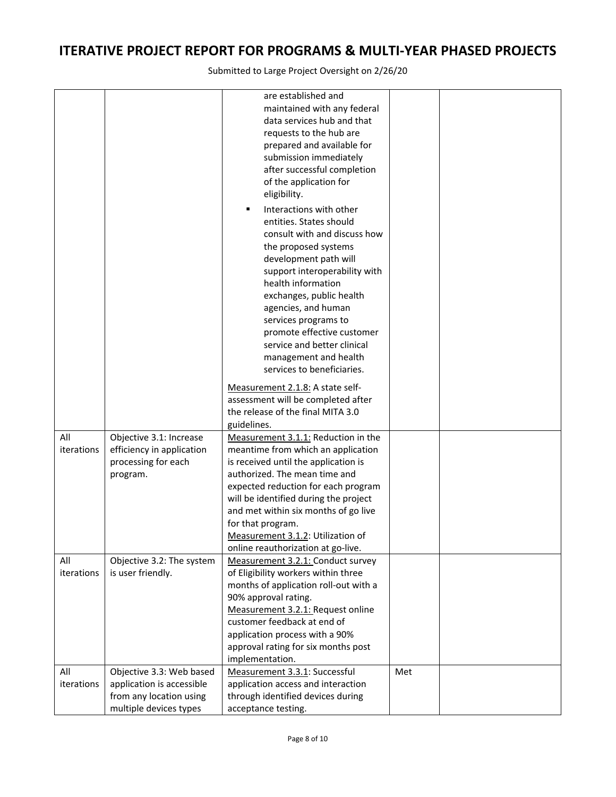|            |                           | are established and                                       |     |  |
|------------|---------------------------|-----------------------------------------------------------|-----|--|
|            |                           | maintained with any federal                               |     |  |
|            |                           | data services hub and that                                |     |  |
|            |                           | requests to the hub are                                   |     |  |
|            |                           | prepared and available for                                |     |  |
|            |                           | submission immediately                                    |     |  |
|            |                           | after successful completion                               |     |  |
|            |                           | of the application for                                    |     |  |
|            |                           | eligibility.                                              |     |  |
|            |                           | Interactions with other<br>٠                              |     |  |
|            |                           | entities. States should                                   |     |  |
|            |                           | consult with and discuss how                              |     |  |
|            |                           | the proposed systems                                      |     |  |
|            |                           | development path will                                     |     |  |
|            |                           | support interoperability with                             |     |  |
|            |                           | health information                                        |     |  |
|            |                           |                                                           |     |  |
|            |                           | exchanges, public health                                  |     |  |
|            |                           | agencies, and human                                       |     |  |
|            |                           | services programs to                                      |     |  |
|            |                           | promote effective customer<br>service and better clinical |     |  |
|            |                           |                                                           |     |  |
|            |                           | management and health                                     |     |  |
|            |                           | services to beneficiaries.                                |     |  |
|            |                           | Measurement 2.1.8: A state self-                          |     |  |
|            |                           | assessment will be completed after                        |     |  |
|            |                           | the release of the final MITA 3.0                         |     |  |
|            |                           | guidelines.                                               |     |  |
| All        | Objective 3.1: Increase   | Measurement 3.1.1: Reduction in the                       |     |  |
| iterations | efficiency in application | meantime from which an application                        |     |  |
|            | processing for each       | is received until the application is                      |     |  |
|            | program.                  | authorized. The mean time and                             |     |  |
|            |                           | expected reduction for each program                       |     |  |
|            |                           | will be identified during the project                     |     |  |
|            |                           | and met within six months of go live                      |     |  |
|            |                           | for that program.                                         |     |  |
|            |                           | Measurement 3.1.2: Utilization of                         |     |  |
|            |                           | online reauthorization at go-live.                        |     |  |
| All        | Objective 3.2: The system | Measurement 3.2.1: Conduct survey                         |     |  |
| iterations | is user friendly.         | of Eligibility workers within three                       |     |  |
|            |                           | months of application roll-out with a                     |     |  |
|            |                           | 90% approval rating.                                      |     |  |
|            |                           | Measurement 3.2.1: Request online                         |     |  |
|            |                           | customer feedback at end of                               |     |  |
|            |                           | application process with a 90%                            |     |  |
|            |                           | approval rating for six months post                       |     |  |
|            |                           | implementation.                                           |     |  |
| All        | Objective 3.3: Web based  | Measurement 3.3.1: Successful                             | Met |  |
| iterations | application is accessible | application access and interaction                        |     |  |
|            | from any location using   | through identified devices during                         |     |  |
|            | multiple devices types    | acceptance testing.                                       |     |  |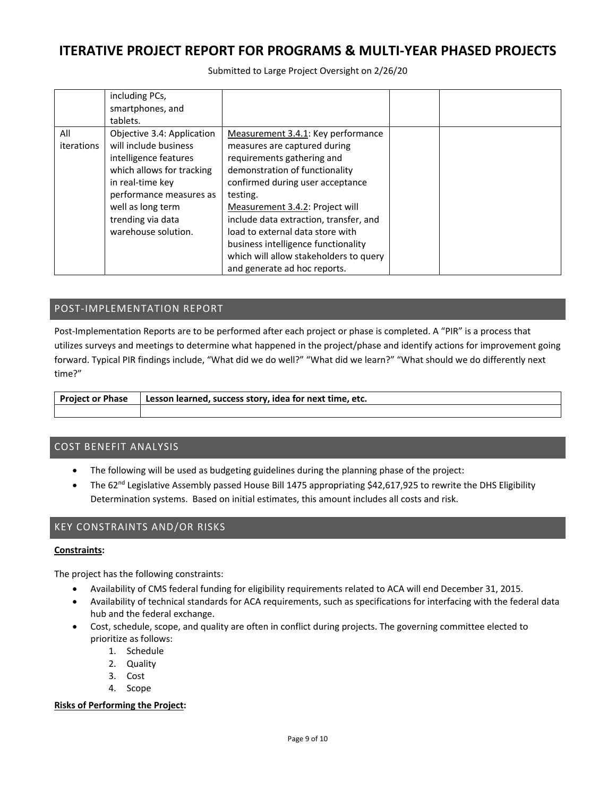Submitted to Large Project Oversight on 2/26/20

|                   | including PCs,<br>smartphones, and<br>tablets.                                                                                                                                                                            |                                                                                                                                                                                                                                                                                                     |  |
|-------------------|---------------------------------------------------------------------------------------------------------------------------------------------------------------------------------------------------------------------------|-----------------------------------------------------------------------------------------------------------------------------------------------------------------------------------------------------------------------------------------------------------------------------------------------------|--|
| All<br>iterations | Objective 3.4: Application<br>will include business<br>intelligence features<br>which allows for tracking<br>in real-time key<br>performance measures as<br>well as long term<br>trending via data<br>warehouse solution. | Measurement 3.4.1: Key performance<br>measures are captured during<br>requirements gathering and<br>demonstration of functionality<br>confirmed during user acceptance<br>testing.<br>Measurement 3.4.2: Project will<br>include data extraction, transfer, and<br>load to external data store with |  |
|                   |                                                                                                                                                                                                                           | business intelligence functionality<br>which will allow stakeholders to query<br>and generate ad hoc reports.                                                                                                                                                                                       |  |

### POST‐IMPLEMENTATION REPORT

Post-Implementation Reports are to be performed after each project or phase is completed. A "PIR" is a process that utilizes surveys and meetings to determine what happened in the project/phase and identify actions for improvement going forward. Typical PIR findings include, "What did we do well?" "What did we learn?" "What should we do differently next time?"

| <b>Project or Phase</b> | 'Lesson learned, success story, idea for next time, etc. |
|-------------------------|----------------------------------------------------------|
|                         |                                                          |

### COST BENEFIT ANALYSIS

- The following will be used as budgeting guidelines during the planning phase of the project:
- The 62<sup>nd</sup> Legislative Assembly passed House Bill 1475 appropriating \$42,617,925 to rewrite the DHS Eligibility Determination systems. Based on initial estimates, this amount includes all costs and risk.

### KEY CONSTRAINTS AND/OR RISKS

#### **Constraints:**

The project has the following constraints:

- Availability of CMS federal funding for eligibility requirements related to ACA will end December 31, 2015.
- Availability of technical standards for ACA requirements, such as specifications for interfacing with the federal data hub and the federal exchange.
- Cost, schedule, scope, and quality are often in conflict during projects. The governing committee elected to prioritize as follows:
	- 1. Schedule
	- 2. Quality
	- 3. Cost
	- 4. Scope

#### **Risks of Performing the Project:**